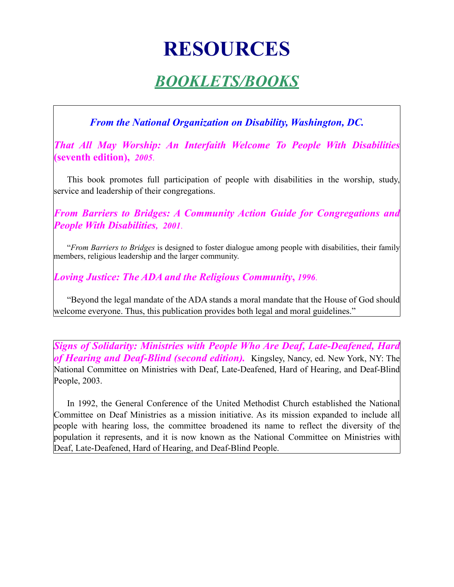# **RESOURCES**

## *BOOKLETS/BOOKS*

*From the National Organization on Disability, Washington, DC.*

*That All May Worship: An Interfaith Welcome To People With Disabilities* **(seventh edition),** *2005*.

This book promotes full participation of people with disabilities in the worship, study, service and leadership of their congregations.

*From Barriers to Bridges: A Community Action Guide for Congregations and People With Disabilities, 2001*.

"*From Barriers to Bridges* is designed to foster dialogue among people with disabilities, their family members, religious leadership and the larger community.

*Loving Justice: The ADA and the Religious Community***,** *1996*.

"Beyond the legal mandate of the ADA stands a moral mandate that the House of God should welcome everyone. Thus, this publication provides both legal and moral guidelines."

*Signs of Solidarity: Ministries with People Who Are Deaf, Late-Deafened, Hard of Hearing and Deaf-Blind (second edition).* Kingsley, Nancy, ed. New York, NY: The National Committee on Ministries with Deaf, Late-Deafened, Hard of Hearing, and Deaf-Blind People, 2003.

In 1992, the General Conference of the United Methodist Church established the National Committee on Deaf Ministries as a mission initiative. As its mission expanded to include all people with hearing loss, the committee broadened its name to reflect the diversity of the population it represents, and it is now known as the National Committee on Ministries with Deaf, Late-Deafened, Hard of Hearing, and Deaf-Blind People.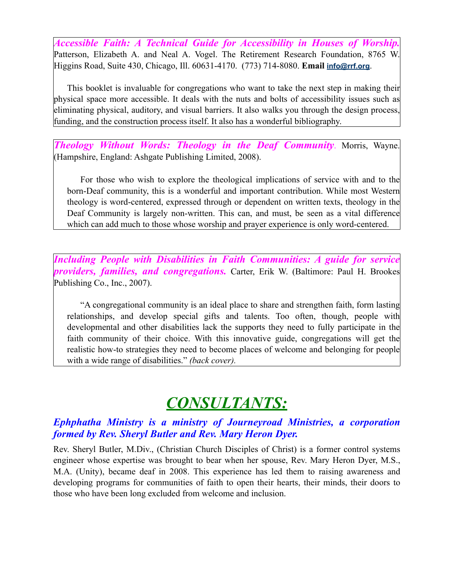*Accessible Faith: A Technical Guide for Accessibility in Houses of Worship.* Patterson, Elizabeth A. and Neal A. Vogel. The Retirement Research Foundation, 8765 W. Higgins Road, Suite 430, Chicago, Ill. 60631-4170. (773) 714-8080. **Email [info@rrf.org](mailto:info@rrf.org)**.

This booklet is invaluable for congregations who want to take the next step in making their physical space more accessible. It deals with the nuts and bolts of accessibility issues such as eliminating physical, auditory, and visual barriers. It also walks you through the design process, funding, and the construction process itself. It also has a wonderful bibliography.

*Theology Without Words: Theology in the Deaf Community*. Morris, Wayne. (Hampshire, England: Ashgate Publishing Limited, 2008).

For those who wish to explore the theological implications of service with and to the born-Deaf community, this is a wonderful and important contribution. While most Western theology is word-centered, expressed through or dependent on written texts, theology in the Deaf Community is largely non-written. This can, and must, be seen as a vital difference which can add much to those whose worship and prayer experience is only word-centered.

*Including People with Disabilities in Faith Communities: A guide for service providers, families, and congregations.* Carter, Erik W. (Baltimore: Paul H. Brookes Publishing Co., Inc., 2007).

"A congregational community is an ideal place to share and strengthen faith, form lasting relationships, and develop special gifts and talents. Too often, though, people with developmental and other disabilities lack the supports they need to fully participate in the faith community of their choice. With this innovative guide, congregations will get the realistic how-to strategies they need to become places of welcome and belonging for people with a wide range of disabilities." *(back cover).*

# *CONSULTANTS:*

#### *Ephphatha Ministry is a ministry of Journeyroad Ministries, a corporation formed by Rev. Sheryl Butler and Rev. Mary Heron Dyer.*

Rev. Sheryl Butler, M.Div., (Christian Church Disciples of Christ) is a former control systems engineer whose expertise was brought to bear when her spouse, Rev. Mary Heron Dyer, M.S., M.A. (Unity), became deaf in 2008. This experience has led them to raising awareness and developing programs for communities of faith to open their hearts, their minds, their doors to those who have been long excluded from welcome and inclusion.